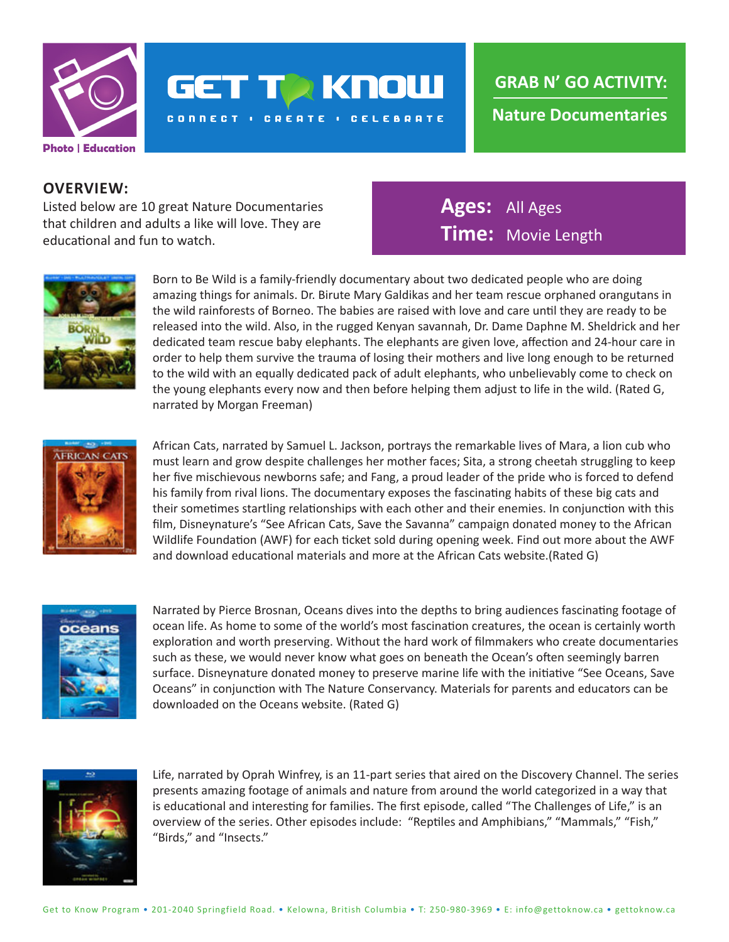

## **GET TA KNOW**

**CONNECT : CREATE : CELEBRATE** 

**Nature Documentaries GRAB N' GO ACTIVITY:**

## **OVERVIEW:**

Listed below are 10 great Nature Documentaries that children and adults a like will love. They are educational and fun to watch.

**Ages:** All Ages **Time:** Movie Length



Born to Be Wild is a family-friendly documentary about two dedicated people who are doing amazing things for animals. Dr. Birute Mary Galdikas and her team rescue orphaned orangutans in the wild rainforests of Borneo. The babies are raised with love and care until they are ready to be released into the wild. Also, in the rugged Kenyan savannah, Dr. Dame Daphne M. Sheldrick and her dedicated team rescue baby elephants. The elephants are given love, affection and 24-hour care in order to help them survive the trauma of losing their mothers and live long enough to be returned to the wild with an equally dedicated pack of adult elephants, who unbelievably come to check on the young elephants every now and then before helping them adjust to life in the wild. (Rated G, narrated by Morgan Freeman)



African Cats, narrated by Samuel L. Jackson, portrays the remarkable lives of Mara, a lion cub who must learn and grow despite challenges her mother faces; Sita, a strong cheetah struggling to keep her five mischievous newborns safe; and Fang, a proud leader of the pride who is forced to defend his family from rival lions. The documentary exposes the fascinating habits of these big cats and their sometimes startling relationships with each other and their enemies. In conjunction with this film, Disneynature's "See African Cats, Save the Savanna" campaign donated money to the African Wildlife Foundation (AWF) for each ticket sold during opening week. Find out more about the AWF and download educational materials and more at the African Cats website.(Rated G)



Narrated by Pierce Brosnan, Oceans dives into the depths to bring audiences fascinating footage of ocean life. As home to some of the world's most fascination creatures, the ocean is certainly worth exploration and worth preserving. Without the hard work of filmmakers who create documentaries such as these, we would never know what goes on beneath the Ocean's often seemingly barren surface. Disneynature donated money to preserve marine life with the initiative "See Oceans, Save Oceans" in conjunction with The Nature Conservancy. Materials for parents and educators can be downloaded on the Oceans website. (Rated G)



Life, narrated by Oprah Winfrey, is an 11-part series that aired on the Discovery Channel. The series presents amazing footage of animals and nature from around the world categorized in a way that is educational and interesting for families. The first episode, called "The Challenges of Life," is an overview of the series. Other episodes include: "Reptiles and Amphibians," "Mammals," "Fish," "Birds," and "Insects."